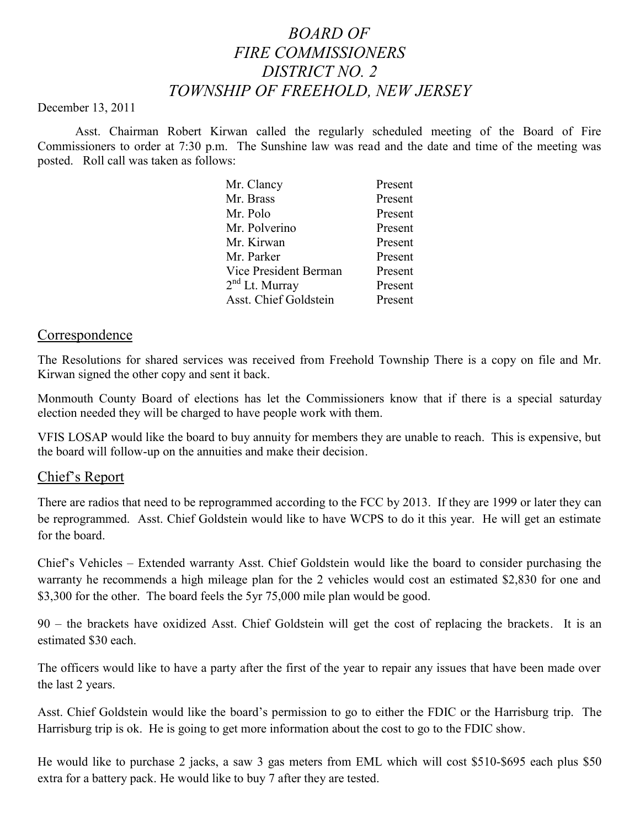# *BOARD OF FIRE COMMISSIONERS DISTRICT NO. 2 TOWNSHIP OF FREEHOLD, NEW JERSEY*

#### December 13, 2011

Asst. Chairman Robert Kirwan called the regularly scheduled meeting of the Board of Fire Commissioners to order at 7:30 p.m. The Sunshine law was read and the date and time of the meeting was posted. Roll call was taken as follows:

| Mr. Clancy                 | Present |
|----------------------------|---------|
| Mr. Brass                  | Present |
| Mr. Polo                   | Present |
| Mr. Polverino              | Present |
| Mr. Kirwan                 | Present |
| Mr. Parker                 | Present |
| Vice President Berman      | Present |
| 2 <sup>nd</sup> Lt. Murray | Present |
| Asst. Chief Goldstein      | Present |
|                            |         |

#### **Correspondence**

The Resolutions for shared services was received from Freehold Township There is a copy on file and Mr. Kirwan signed the other copy and sent it back.

Monmouth County Board of elections has let the Commissioners know that if there is a special saturday election needed they will be charged to have people work with them.

VFIS LOSAP would like the board to buy annuity for members they are unable to reach. This is expensive, but the board will follow-up on the annuities and make their decision.

#### Chief's Report

There are radios that need to be reprogrammed according to the FCC by 2013. If they are 1999 or later they can be reprogrammed. Asst. Chief Goldstein would like to have WCPS to do it this year. He will get an estimate for the board.

Chief's Vehicles – Extended warranty Asst. Chief Goldstein would like the board to consider purchasing the warranty he recommends a high mileage plan for the 2 vehicles would cost an estimated \$2,830 for one and \$3,300 for the other. The board feels the 5yr 75,000 mile plan would be good.

90 – the brackets have oxidized Asst. Chief Goldstein will get the cost of replacing the brackets. It is an estimated \$30 each.

The officers would like to have a party after the first of the year to repair any issues that have been made over the last 2 years.

Asst. Chief Goldstein would like the board's permission to go to either the FDIC or the Harrisburg trip. The Harrisburg trip is ok. He is going to get more information about the cost to go to the FDIC show.

He would like to purchase 2 jacks, a saw 3 gas meters from EML which will cost \$510-\$695 each plus \$50 extra for a battery pack. He would like to buy 7 after they are tested.